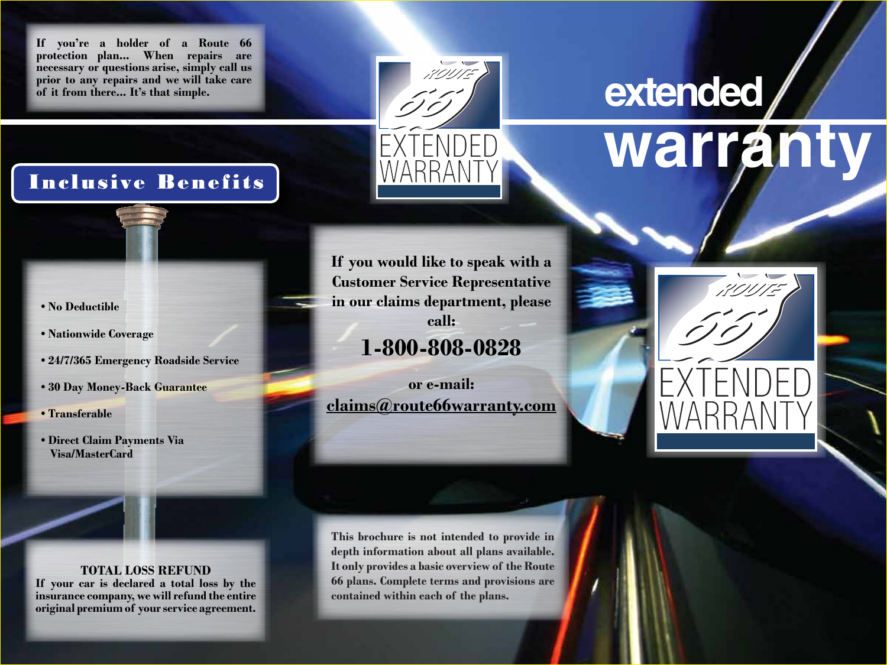**If you're a holder of a Route 66 protection plan... When repairs are necessary or questions arise, simply call us prior to any repairs and we will take care of it from there... It's that simple.**



## Inclusive Benefits

# **warranty extended**



- **No Deductible**
- **Nationwide Coverage**
- **24/7/365 Emergency Roadside Service**
- **30 Day Money-Back Guarantee**
- **Transferable**
- **Direct Claim Payments Via Visa/MasterCard**

#### **TOTAL LOSS REFUND**

**If your car is declared a total loss by the insurance company,wewillrefund the entire original premium of yourservice agreement.** **If you would like to speak with a Customer Service Representative in our claims department, please call: 1-800-808-0828**

**or e-mail: claims@route66warranty.com**

**This brochure is not intended to provide in depth information about all plans available. It only provides a basic overview of the Route 66 plans. Complete terms and provisions are contained within each of the plans.**